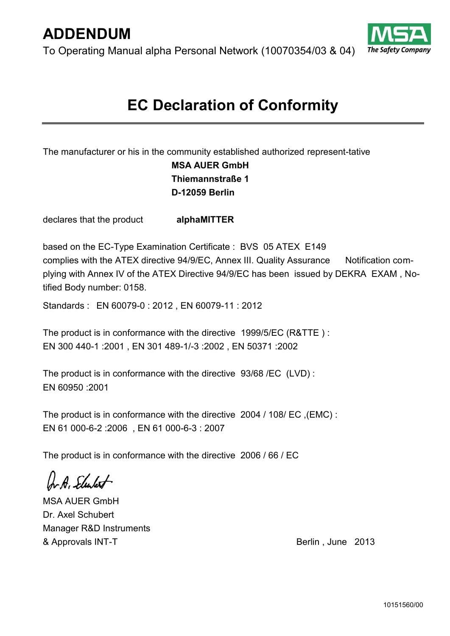To Operating Manual alpha Personal Network (10070354/03 & 04)



# **EC Declaration of Conformity**

The manufacturer or his in the community established authorized represent-tative

## **MSA AUER GmbH Thiemannstraße 1 D-12059 Berlin**

declares that the product **alphaMITTER**

based on the EC-Type Examination Certificate : BVS 05 ATEX E149 complies with the ATEX directive 94/9/EC, Annex III. Quality Assurance Notification complying with Annex IV of the ATEX Directive 94/9/EC has been issued by DEKRA EXAM , Notified Body number: 0158.

Standards : EN 60079-0 : 2012 , EN 60079-11 : 2012

The product is in conformance with the directive 1999/5/EC (R&TTE ) : EN 300 440-1 :2001 , EN 301 489-1/-3 :2002 , EN 50371 :2002

The product is in conformance with the directive 93/68 /EC (LVD) : EN 60950 :2001

The product is in conformance with the directive 2004 / 108/ EC ,(EMC) : EN 61 000-6-2 :2006 , EN 61 000-6-3 : 2007

The product is in conformance with the directive 2006 / 66 / EC

Ar A, Schulert

MSA AUER GmbH Dr. Axel Schubert Manager R&D Instruments & Approvals INT-T and the set of the Berlin , June 2013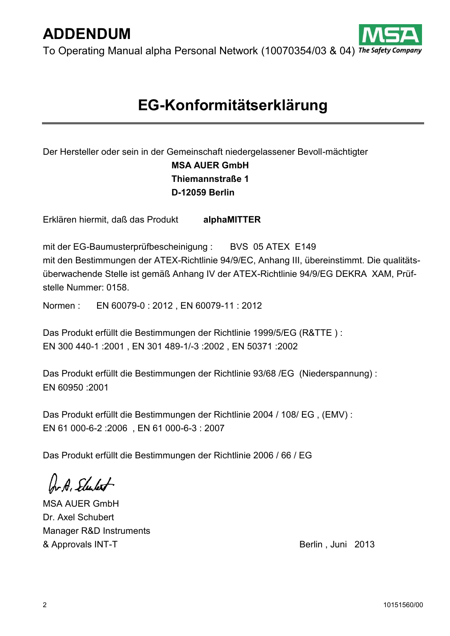To Operating Manual alpha Personal Network (10070354/03 & 04) The Safety Company

# **EG-Konformitätserklärung**

Der Hersteller oder sein in der Gemeinschaft niedergelassener Bevoll-mächtigter **MSA AUER GmbH Thiemannstraße 1 D-12059 Berlin**

Erklären hiermit, daß das Produkt **alphaMITTER**

mit der EG-Baumusterprüfbescheinigung : BVS 05 ATEX E149 mit den Bestimmungen der ATEX-Richtlinie 94/9/EC, Anhang III, übereinstimmt. Die qualitätsüberwachende Stelle ist gemäß Anhang IV der ATEX-Richtlinie 94/9/EG DEKRA XAM, Prüfstelle Nummer: 0158.

Normen : EN 60079-0 : 2012 , EN 60079-11 : 2012

Das Produkt erfüllt die Bestimmungen der Richtlinie 1999/5/EG (R&TTE ) : EN 300 440-1 :2001 , EN 301 489-1/-3 :2002 , EN 50371 :2002

Das Produkt erfüllt die Bestimmungen der Richtlinie 93/68 /EG (Niederspannung) : EN 60950 :2001

Das Produkt erfüllt die Bestimmungen der Richtlinie 2004 / 108/ EG , (EMV) : EN 61 000-6-2 :2006 , EN 61 000-6-3 : 2007

Das Produkt erfüllt die Bestimmungen der Richtlinie 2006 / 66 / EG

ArA, Elulet

MSA AUER GmbH Dr. Axel Schubert Manager R&D Instruments & Approvals INT-T and the set of the Berlin , Juni 2013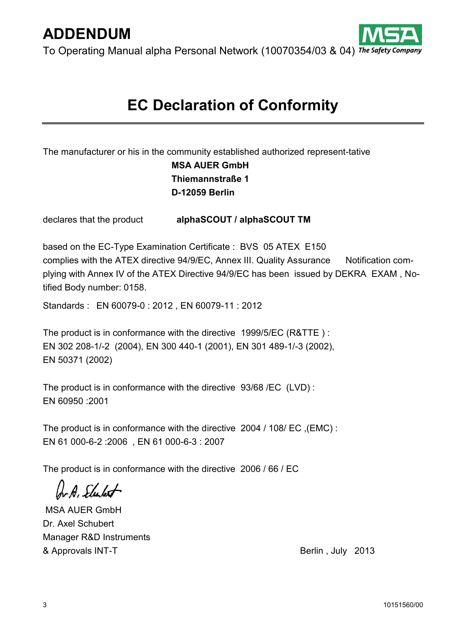To Operating Manual alpha Personal Network (10070354/03 & 04) The Safety Company

# **EC Declaration of Conformity**

The manufacturer or his in the community established authorized represent-tative

## **MSA AUER GmbH Thiemannstraße 1 D-12059 Berlin**

declares that the product **alphaSCOUT / alphaSCOUT TM**

based on the EC-Type Examination Certificate : BVS 05 ATEX E150 complies with the ATEX directive 94/9/EC, Annex III. Quality Assurance Notification complying with Annex IV of the ATEX Directive 94/9/EC has been issued by DEKRA EXAM , Notified Body number: 0158.

Standards : EN 60079-0 : 2012 , EN 60079-11 : 2012

The product is in conformance with the directive 1999/5/EC (R&TTE ) : EN 302 208-1/-2 (2004), EN 300 440-1 (2001), EN 301 489-1/-3 (2002), EN 50371 (2002)

The product is in conformance with the directive 93/68 /EC (LVD) : EN 60950 :2001

The product is in conformance with the directive 2004 / 108/ EC ,(EMC) : EN 61 000-6-2 :2006 , EN 61 000-6-3 : 2007

The product is in conformance with the directive 2006 / 66 / EC

Ar A. Slubert

MSA AUER GmbH Dr. Axel Schubert Manager R&D Instruments & Approvals INT-T and the set of the Berlin , July 2013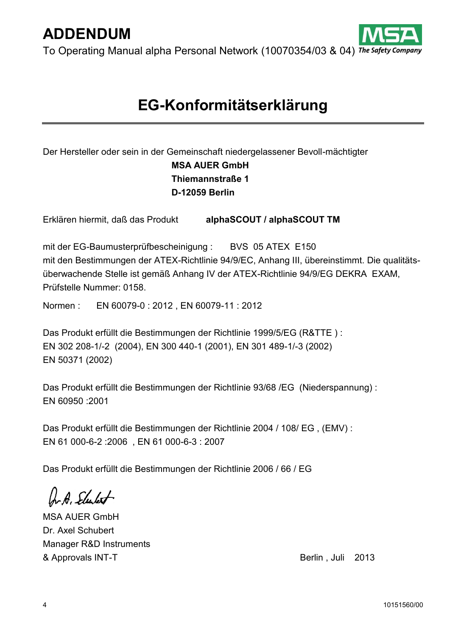To Operating Manual alpha Personal Network (10070354/03 & 04) The Safety

# **EG-Konformitätserklärung**

## Der Hersteller oder sein in der Gemeinschaft niedergelassener Bevoll-mächtigter **MSA AUER GmbH Thiemannstraße 1 D-12059 Berlin**

Erklären hiermit, daß das Produkt **alphaSCOUT / alphaSCOUT TM**

mit der EG-Baumusterprüfbescheinigung : BVS 05 ATEX E150 mit den Bestimmungen der ATEX-Richtlinie 94/9/EC, Anhang III, übereinstimmt. Die qualitätsüberwachende Stelle ist gemäß Anhang IV der ATEX-Richtlinie 94/9/EG DEKRA EXAM, Prüfstelle Nummer: 0158.

Normen : EN 60079-0 : 2012 , EN 60079-11 : 2012

Das Produkt erfüllt die Bestimmungen der Richtlinie 1999/5/EG (R&TTE ) : EN 302 208-1/-2 (2004), EN 300 440-1 (2001), EN 301 489-1/-3 (2002) EN 50371 (2002)

Das Produkt erfüllt die Bestimmungen der Richtlinie 93/68 /EG (Niederspannung) : EN 60950 :2001

Das Produkt erfüllt die Bestimmungen der Richtlinie 2004 / 108/ EG , (EMV) : EN 61 000-6-2 :2006 , EN 61 000-6-3 : 2007

Das Produkt erfüllt die Bestimmungen der Richtlinie 2006 / 66 / EG

b. A. Elector

MSA AUER GmbH Dr. Axel Schubert Manager R&D Instruments & Approvals INT-T and the set of the Berlin , Juli 2013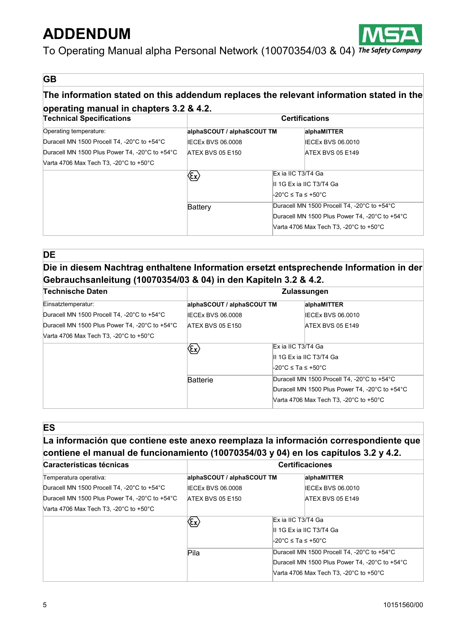

To Operating Manual alpha Personal Network (10070354/03 & 04) The Safety Company

#### **GB**

### **The information stated on this addendum replaces the relevant information stated in the operating manual in chapters 3.2 & 4.2.**

| <b>Technical Specifications</b>                              | <b>Certifications</b>                    |                          |                                                              |
|--------------------------------------------------------------|------------------------------------------|--------------------------|--------------------------------------------------------------|
| Operating temperature:                                       | alphaSCOUT / alphaSCOUT TM               |                          | alphaMITTER                                                  |
| Duracell MN 1500 Procell T4, -20°C to +54°C                  | IECEx BVS 06,0008                        |                          | <b>IECEX BVS 06.0010</b>                                     |
| Duracell MN 1500 Plus Power T4, -20°C to +54°C               | <b>ATEX BVS 05 E150</b>                  |                          | <b>ATEX BVS 05 E149</b>                                      |
| Varta 4706 Max Tech T3, -20 $^{\circ}$ C to +50 $^{\circ}$ C |                                          |                          |                                                              |
|                                                              | $\langle \! \mathrm{\acute{E}x} \rangle$ | Ex ia IIC T3/T4 Ga       |                                                              |
|                                                              |                                          | II 1G Ex ia IIC T3/T4 Ga |                                                              |
|                                                              |                                          | -20°C ≤ Ta ≤ +50°C       |                                                              |
|                                                              | Battery                                  |                          | Duracell MN 1500 Procell T4, -20°C to +54°C                  |
|                                                              |                                          |                          | Duracell MN 1500 Plus Power T4, -20°C to +54°C               |
|                                                              |                                          |                          | Varta 4706 Max Tech T3, -20 $^{\circ}$ C to +50 $^{\circ}$ C |

### **DE Die in diesem Nachtrag enthaltene Information ersetzt entsprechende Information in der Gebrauchsanleitung (10070354/03 & 04) in den Kapiteln 3.2 & 4.2.**

| Technische Daten                                             | <b>Zulassungen</b>                            |                     |                                                |
|--------------------------------------------------------------|-----------------------------------------------|---------------------|------------------------------------------------|
| Einsatztemperatur:                                           | alphaSCOUT / alphaSCOUT TM                    |                     | alphaMITTER                                    |
| Duracell MN 1500 Procell T4, -20°C to +54°C                  | IECEx BVS 06,0008                             |                     | IECEx BVS 06,0010                              |
| Duracell MN 1500 Plus Power T4, -20°C to +54°C               | ATEX BVS 05 E150                              |                     | <b>ATEX BVS 05 E149</b>                        |
| Varta 4706 Max Tech T3, -20 $^{\circ}$ C to +50 $^{\circ}$ C |                                               |                     |                                                |
|                                                              | $\langle \! \! \epsilon_{\mathsf{x}} \rangle$ | Ex ia IIC T3/T4 Ga  |                                                |
|                                                              |                                               |                     | II 1G Ex ia IIC T3/T4 Ga                       |
|                                                              |                                               | l-20°C ≤ Ta ≤ +50°C |                                                |
|                                                              | <b>Batterie</b>                               |                     | Duracell MN 1500 Procell T4, -20°C to +54°C    |
|                                                              |                                               |                     | Duracell MN 1500 Plus Power T4, -20°C to +54°C |
|                                                              |                                               |                     | Varta 4706 Max Tech T3, -20°C to +50°C         |

**ES**

### **La información que contiene este anexo reemplaza la información correspondiente que contiene el manual de funcionamiento (10070354/03 y 04) en los capítulos 3.2 y 4.2.**

| Características técnicas                                     | <b>Certificaciones</b>                              |                                             |                                                              |
|--------------------------------------------------------------|-----------------------------------------------------|---------------------------------------------|--------------------------------------------------------------|
| Temperatura operativa:                                       | alphaSCOUT / alphaSCOUT TM                          |                                             | alphaMITTER                                                  |
| Duracell MN 1500 Procell T4, -20°C to +54°C                  | IECEx BVS 06.0008                                   |                                             | IECEx BVS 06.0010                                            |
| Duracell MN 1500 Plus Power T4, -20°C to +54°C               | <b>ATEX BVS 05 E150</b>                             |                                             | <b>ATEX BVS 05 E149</b>                                      |
| Varta 4706 Max Tech T3, -20 $^{\circ}$ C to +50 $^{\circ}$ C |                                                     |                                             |                                                              |
|                                                              | $\langle \! \! \! \! \epsilon_{\mathsf{x}} \rangle$ | Ex ia IIC T3/T4 Ga                          |                                                              |
|                                                              |                                                     |                                             | II 1G Ex ia IIC T3/T4 Ga                                     |
|                                                              |                                                     | $\text{\textdegree}$ C ≤ Ta ≤ +50°C         |                                                              |
|                                                              | Pila                                                | Duracell MN 1500 Procell T4, -20°C to +54°C |                                                              |
|                                                              |                                                     |                                             | Duracell MN 1500 Plus Power T4. -20°C to +54°C               |
|                                                              |                                                     |                                             | Varta 4706 Max Tech T3, -20 $^{\circ}$ C to +50 $^{\circ}$ C |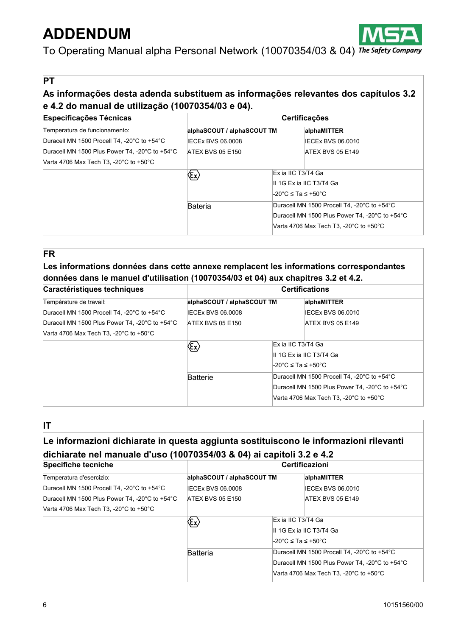

To Operating Manual alpha Personal Network (10070354/03 & 04) The Safety Company

**PT**

## **As informações desta adenda substituem as informações relevantes dos capítulos 3.2 e 4.2 do manual de utilização (10070354/03 e 04).**

| <b>Especificações Técnicas</b>                               | <b>Certificações</b>                                                                      |                                                                                               |                                        |
|--------------------------------------------------------------|-------------------------------------------------------------------------------------------|-----------------------------------------------------------------------------------------------|----------------------------------------|
| Temperatura de funcionamento:                                | alphaSCOUT / alphaSCOUT TM                                                                |                                                                                               | alphaMITTER                            |
| Duracell MN 1500 Procell T4, -20°C to +54°C                  | IECEx BVS 06,0008                                                                         |                                                                                               | IECEx BVS 06.0010                      |
| Duracell MN 1500 Plus Power T4, -20°C to +54°C               | <b>ATEX BVS 05 E150</b>                                                                   |                                                                                               | <b>ATEX BVS 05 E149</b>                |
| Varta 4706 Max Tech T3, -20 $^{\circ}$ C to +50 $^{\circ}$ C |                                                                                           |                                                                                               |                                        |
|                                                              | $\langle \! \! \! \! \! \langle \pmb \epsilon_{\pmb x} \rangle \! \! \! \! \! \! \rangle$ | Ex ia IIC T3/T4 Ga                                                                            |                                        |
|                                                              |                                                                                           |                                                                                               | II 1G Ex ia IIC T3/T4 Ga               |
|                                                              |                                                                                           | $\text{\textdegree}$ C ≤ Ta ≤ +50°C                                                           |                                        |
|                                                              | Bateria                                                                                   | Duracell MN 1500 Procell T4, -20°C to +54°C<br>Duracell MN 1500 Plus Power T4. -20°C to +54°C |                                        |
|                                                              |                                                                                           |                                                                                               |                                        |
|                                                              |                                                                                           |                                                                                               | Varta 4706 Max Tech T3, -20°C to +50°C |

#### **FR**

**Les informations données dans cette annexe remplacent les informations correspondantes données dans le manuel d'utilisation (10070354/03 et 04) aux chapitres 3.2 et 4.2.**

| Caractéristiques techniques                                  | <b>Certifications</b>                      |                    |                                                              |
|--------------------------------------------------------------|--------------------------------------------|--------------------|--------------------------------------------------------------|
| Température de travail:                                      | alphaSCOUT / alphaSCOUT TM                 |                    | alphaMITTER                                                  |
| Duracell MN 1500 Procell T4, -20°C to +54°C                  | IECEx BVS 06.0008                          |                    | <b>IECEx BVS 06.0010</b>                                     |
| Duracell MN 1500 Plus Power T4, -20°C to +54°C               | <b>ATEX BVS 05 E150</b>                    |                    | ATEX BVS 05 E149                                             |
| Varta 4706 Max Tech T3, -20 $^{\circ}$ C to +50 $^{\circ}$ C |                                            |                    |                                                              |
|                                                              | $\langle \! \varepsilon_{\! x} \! \rangle$ |                    | Ex ia IIC T3/T4 Ga                                           |
|                                                              |                                            |                    | II 1G Ex ia IIC T3/T4 Ga                                     |
|                                                              |                                            | -20°C ≤ Ta ≤ +50°C |                                                              |
|                                                              | <b>Batterie</b>                            |                    | Duracell MN 1500 Procell T4. -20°C to +54°C                  |
|                                                              |                                            |                    | Duracell MN 1500 Plus Power T4, -20°C to +54°C               |
|                                                              |                                            |                    | Varta 4706 Max Tech T3, -20 $^{\circ}$ C to +50 $^{\circ}$ C |

**IT**

## **Le informazioni dichiarate in questa aggiunta sostituiscono le informazioni rilevanti dichiarate nel manuale d'uso (10070354/03 & 04) ai capitoli 3.2 e 4.2**

| Specifiche tecniche                                          | Certificazioni                                |                                     |                                                |
|--------------------------------------------------------------|-----------------------------------------------|-------------------------------------|------------------------------------------------|
| Temperatura d'esercizio:                                     | alphaSCOUT / alphaSCOUT TM                    |                                     | alphaMITTER                                    |
| Duracell MN 1500 Procell T4, -20°C to +54°C                  | IECEx BVS 06.0008                             |                                     | IECEx BVS 06.0010                              |
| Duracell MN 1500 Plus Power T4, -20°C to +54°C               | ATEX BVS 05 E150                              |                                     | <b>ATEX BVS 05 E149</b>                        |
| Varta 4706 Max Tech T3, -20 $^{\circ}$ C to +50 $^{\circ}$ C |                                               |                                     |                                                |
|                                                              | $\langle \! \! \epsilon_{\mathsf{x}} \rangle$ | Ex ia IIC T3/T4 Ga                  |                                                |
|                                                              |                                               |                                     | II 1G Ex ia IIC T3/T4 Ga                       |
|                                                              |                                               | $\text{\textdegree}$ C ≤ Ta ≤ +50°C |                                                |
|                                                              | <b>Batteria</b>                               |                                     | Duracell MN 1500 Procell T4, -20°C to +54°C    |
|                                                              |                                               |                                     | Duracell MN 1500 Plus Power T4. -20°C to +54°C |
|                                                              |                                               |                                     | Varta 4706 Max Tech T3, -20°C to +50°C         |
|                                                              |                                               |                                     |                                                |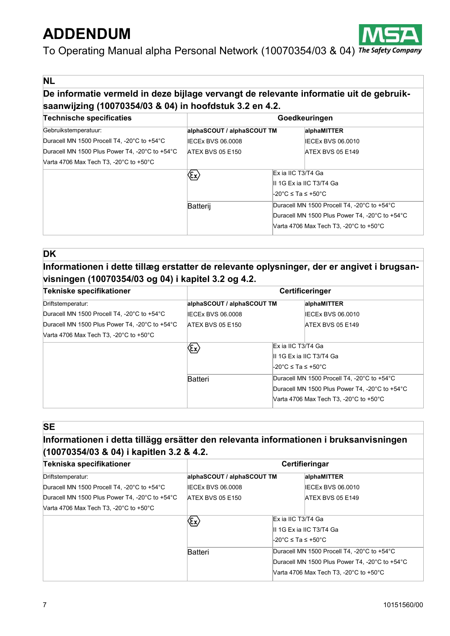

To Operating Manual alpha Personal Network (10070354/03 & 04) The Safety Company

**NL**

## **De informatie vermeld in deze bijlage vervangt de relevante informatie uit de gebruiksaanwijzing (10070354/03 & 04) in hoofdstuk 3.2 en 4.2.**

| <b>Technische specificaties</b>                              | Goedkeuringen                                            |                                     |                                                              |
|--------------------------------------------------------------|----------------------------------------------------------|-------------------------------------|--------------------------------------------------------------|
| Gebruikstemperatuur:                                         | alphaSCOUT / alphaSCOUT TM                               |                                     | alphaMITTER                                                  |
| Duracell MN 1500 Procell T4, -20°C to +54°C                  | IECEx BVS 06,0008                                        |                                     | IECEx BVS 06,0010                                            |
| Duracell MN 1500 Plus Power T4, -20°C to +54°C               | <b>ATEX BVS 05 E150</b>                                  |                                     | ATEX BVS 05 E149                                             |
| Varta 4706 Max Tech T3, -20 $^{\circ}$ C to +50 $^{\circ}$ C |                                                          |                                     |                                                              |
|                                                              | $\langle \! \mathrm{\acute{e}} \! \! \mathrm{\ }\rangle$ | Ex ia IIC T3/T4 Ga                  |                                                              |
|                                                              |                                                          | II 1G Ex ia IIC T3/T4 Ga            |                                                              |
|                                                              |                                                          | $\text{\textdegree}$ C ≤ Ta ≤ +50°C |                                                              |
|                                                              | Batterij                                                 |                                     | Duracell MN 1500 Procell T4, -20°C to +54°C                  |
|                                                              |                                                          |                                     | Duracell MN 1500 Plus Power T4, -20°C to +54°C               |
|                                                              |                                                          |                                     | Varta 4706 Max Tech T3, -20 $^{\circ}$ C to +50 $^{\circ}$ C |

#### **DK**

### **Informationen i dette tillæg erstatter de relevante oplysninger, der er angivet i brugsanvisningen (10070354/03 og 04) i kapitel 3.2 og 4.2.**

| Tekniske specifikationer                                     | Certificeringer                                               |                                             |                                                              |
|--------------------------------------------------------------|---------------------------------------------------------------|---------------------------------------------|--------------------------------------------------------------|
| Driftstemperatur:                                            | alphaSCOUT / alphaSCOUT TM                                    |                                             | alphaMITTER                                                  |
| Duracell MN 1500 Procell T4, -20°C to +54°C                  | IECEx BVS 06.0008                                             |                                             | IECEx BVS 06,0010                                            |
| Duracell MN 1500 Plus Power T4, -20°C to +54°C               | <b>ATEX BVS 05 E150</b>                                       |                                             | ATEX BVS 05 E149                                             |
| Varta 4706 Max Tech T3, -20 $^{\circ}$ C to +50 $^{\circ}$ C |                                                               |                                             |                                                              |
|                                                              | $\langle \! \mathrm{\acute{e}} \! \mathrm{\acute{e}} \rangle$ | Ex ia IIC T3/T4 Ga                          |                                                              |
|                                                              |                                                               |                                             | II 1G Ex ia IIC T3/T4 Ga                                     |
|                                                              |                                                               | $\text{\textdegree}$ C ≤ Ta ≤ +50°C         |                                                              |
|                                                              | Batteri                                                       | Duracell MN 1500 Procell T4, -20°C to +54°C |                                                              |
|                                                              |                                                               |                                             | Duracell MN 1500 Plus Power T4. -20°C to +54°C               |
|                                                              |                                                               |                                             | Varta 4706 Max Tech T3, -20 $^{\circ}$ C to +50 $^{\circ}$ C |

### **SE**

### **Informationen i detta tillägg ersätter den relevanta informationen i bruksanvisningen (10070354/03 & 04) i kapitlen 3.2 & 4.2.**

| Tekniska specifikationer                                     | Certifieringar                 |  |                                                |
|--------------------------------------------------------------|--------------------------------|--|------------------------------------------------|
| Driftstemperatur:                                            | alphaSCOUT / alphaSCOUT TM     |  | alphaMITTER                                    |
| Duracell MN 1500 Procell T4, -20°C to +54°C                  | <b>IECEX BVS 06.0008</b>       |  | IECEx BVS 06.0010                              |
| Duracell MN 1500 Plus Power T4, -20°C to +54°C               | <b>ATEX BVS 05 E150</b>        |  | <b>ATEX BVS 05 E149</b>                        |
| Varta 4706 Max Tech T3, -20 $^{\circ}$ C to +50 $^{\circ}$ C |                                |  |                                                |
|                                                              | $\langle \! \rm{E} \! \rangle$ |  | Ex ia IIC T3/T4 Ga                             |
|                                                              |                                |  | II 1G Ex ia IIC T3/T4 Ga                       |
|                                                              |                                |  | -20°C ≤ Ta ≤ +50°C                             |
|                                                              | Batteri                        |  | Duracell MN 1500 Procell T4, -20°C to +54°C    |
|                                                              |                                |  | Duracell MN 1500 Plus Power T4. -20°C to +54°C |
|                                                              |                                |  | Varta 4706 Max Tech T3, -20°C to +50°C         |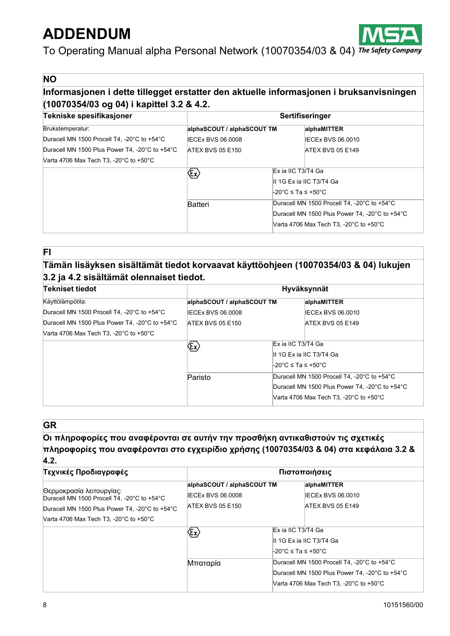

To Operating Manual alpha Personal Network (10070354/03 & 04) The Safety Company

### **NO**

### **Informasjonen i dette tillegget erstatter den aktuelle informasjonen i bruksanvisningen (10070354/03 og 04) i kapittel 3.2 & 4.2.**

| Tekniske spesifikasjoner                                     | Sertifiseringer                                                     |                                             |                                                              |  |
|--------------------------------------------------------------|---------------------------------------------------------------------|---------------------------------------------|--------------------------------------------------------------|--|
| Brukstemperatur:                                             | alphaSCOUT / alphaSCOUT TM                                          |                                             | alphaMITTER                                                  |  |
| Duracell MN 1500 Procell T4, -20°C to +54°C                  | <b>IECEx BVS 06.0008</b>                                            |                                             | IECEx BVS 06.0010                                            |  |
| Duracell MN 1500 Plus Power T4, -20°C to +54°C               | <b>ATEX BVS 05 E150</b>                                             |                                             | <b>ATEX BVS 05 E149</b>                                      |  |
| Varta 4706 Max Tech T3, -20 $^{\circ}$ C to +50 $^{\circ}$ C |                                                                     |                                             |                                                              |  |
|                                                              | $\langle\!\overline{\mathfrak{c}}\!\!\!\!\!\!\!\!\!\!\!\!\!\rangle$ |                                             | Ex ia IIC T3/T4 Ga                                           |  |
|                                                              |                                                                     |                                             | II 1G Ex ia IIC T3/T4 Ga                                     |  |
|                                                              |                                                                     | -20°C ≤ Ta ≤ +50°C                          |                                                              |  |
|                                                              | Batteri                                                             | Duracell MN 1500 Procell T4, -20°C to +54°C |                                                              |  |
|                                                              |                                                                     |                                             | Duracell MN 1500 Plus Power T4, -20°C to +54°C               |  |
|                                                              |                                                                     |                                             | Varta 4706 Max Tech T3, -20 $^{\circ}$ C to +50 $^{\circ}$ C |  |

#### **FI**

## **Tämän lisäyksen sisältämät tiedot korvaavat käyttöohjeen (10070354/03 & 04) lukujen 3.2 ja 4.2 sisältämät olennaiset tiedot.**

| Tekniset tiedot                                              | Hyväksynnät                                        |                                             |                                                |
|--------------------------------------------------------------|----------------------------------------------------|---------------------------------------------|------------------------------------------------|
| Käyttölämpötila:                                             | alphaSCOUT / alphaSCOUT TM                         |                                             | alphaMITTER                                    |
| Duracell MN 1500 Procell T4, -20°C to +54°C                  | <b>IECEX BVS 06,0008</b>                           |                                             | IECEx BVS 06.0010                              |
| Duracell MN 1500 Plus Power T4, -20°C to +54°C               | ATEX BVS 05 E150                                   |                                             | ATEX BVS 05 E149                               |
| Varta 4706 Max Tech T3, -20 $^{\circ}$ C to +50 $^{\circ}$ C |                                                    |                                             |                                                |
|                                                              | $\langle \! \mathrm{\acute{E}} \! \! \! x \rangle$ | Ex ia IIC T3/T4 Ga                          |                                                |
|                                                              |                                                    |                                             | II 1G Ex ia IIC T3/T4 Ga                       |
|                                                              |                                                    | -20°C ≤ Ta ≤ +50°C                          |                                                |
|                                                              | Paristo                                            | Duracell MN 1500 Procell T4, -20°C to +54°C |                                                |
|                                                              |                                                    |                                             | Duracell MN 1500 Plus Power T4, -20°C to +54°C |
|                                                              |                                                    |                                             | Varta 4706 Max Tech T3, -20°C to +50°C         |

#### **GR**

#### **Οι πληροφορίες που αναφέρονται σε αυτήν την προσθήκη αντικαθιστούν τις σχετικές πληροφορίες που αναφέρονται στο εγχειρίδιο χρήσης (10070354/03 & 04) στα κεφάλαια 3.2 & 4.2.**

| Τεχνικές Προδιαγραφές                                                                                                     | Πιστοποιήσεις                                                              |                                                                                                                                                               |  |
|---------------------------------------------------------------------------------------------------------------------------|----------------------------------------------------------------------------|---------------------------------------------------------------------------------------------------------------------------------------------------------------|--|
| Θερμοκρασία λειτουργίας:<br>Duracell MN 1500 Procell T4, -20°C to +54°C<br>Duracell MN 1500 Plus Power T4, -20°C to +54°C | alphaSCOUT / alphaSCOUT TM<br><b>IECEX BVS 06,0008</b><br>ATEX BVS 05 E150 | alphaMITTER<br>IECEx BVS 06,0010<br><b>ATEX BVS 05 E149</b>                                                                                                   |  |
| Varta 4706 Max Tech T3, -20 $^{\circ}$ C to +50 $^{\circ}$ C                                                              | $\langle \! \! \! \epsilon_{\mathsf{x}} \rangle$                           | Ex ia IIC T3/T4 Ga<br>III 1G Ex ia IIC T3/T4 Ga<br>l-20°C ≤ Ta ≤ +50°C                                                                                        |  |
|                                                                                                                           | Μπαταρία                                                                   | Duracell MN 1500 Procell T4, -20°C to +54°C<br>Duracell MN 1500 Plus Power T4, -20°C to +54°C<br>Varta 4706 Max Tech T3, -20 $^{\circ}$ C to +50 $^{\circ}$ C |  |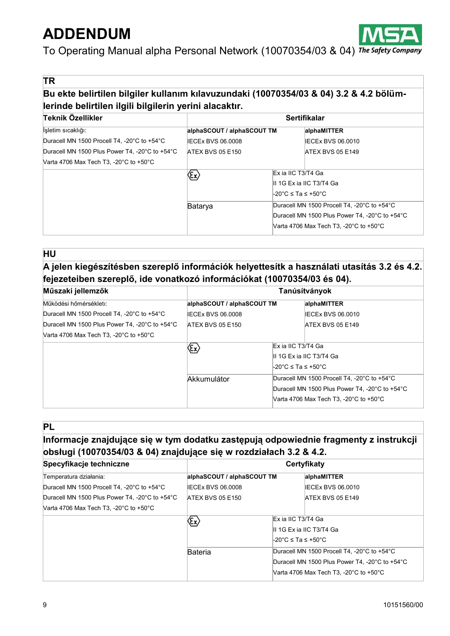

To Operating Manual alpha Personal Network (10070354/03 & 04) The Safety Company

**TR**

## **Bu ekte belirtilen bilgiler kullanım kılavuzundaki (10070354/03 & 04) 3.2 & 4.2 bölümlerinde belirtilen ilgili bilgilerin yerini alacaktır.**

| Teknik Özellikler                                            | <b>Sertifikalar</b>            |                                                                                                                                         |  |
|--------------------------------------------------------------|--------------------------------|-----------------------------------------------------------------------------------------------------------------------------------------|--|
| İsletim sıcaklığı:                                           | alphaSCOUT / alphaSCOUT TM     | alphaMITTER                                                                                                                             |  |
| Duracell MN 1500 Procell T4, -20°C to +54°C                  | <b>IECEx BVS 06.0008</b>       | IECEx BVS 06.0010                                                                                                                       |  |
| Duracell MN 1500 Plus Power T4, -20°C to +54°C               | <b>ATEX BVS 05 E150</b>        | ATEX BVS 05 E149                                                                                                                        |  |
| Varta 4706 Max Tech T3, -20 $^{\circ}$ C to +50 $^{\circ}$ C |                                |                                                                                                                                         |  |
|                                                              | $\langle \! \rm{E} \! \rangle$ | Ex ia IIC T3/T4 Ga<br>II 1G Ex ia IIC T3/T4 Ga<br>-20°C ≤ Ta ≤ +50°C                                                                    |  |
|                                                              | Batarya                        | Duracell MN 1500 Procell T4, -20°C to +54°C<br>Duracell MN 1500 Plus Power T4, -20°C to +54°C<br>Varta 4706 Max Tech T3, -20°C to +50°C |  |

#### **HU**

## **A jelen kiegészítésben szereplő információk helyettesítk a használati utasítás 3.2 és 4.2. fejezeteiben szereplő, ide vonatkozó információkat (10070354/03 és 04).**

| Műszaki jellemzők                                            | Tanúsítványok                                  |                     |                                                              |  |
|--------------------------------------------------------------|------------------------------------------------|---------------------|--------------------------------------------------------------|--|
| Működési hőmérsékleti:                                       | alphaSCOUT / alphaSCOUT TM                     |                     | alphaMITTER                                                  |  |
| Duracell MN 1500 Procell T4, -20°C to +54°C                  | IECEx BVS 06,0008                              |                     | IECEx BVS 06,0010                                            |  |
| Duracell MN 1500 Plus Power T4, -20°C to +54°C               | ATEX BVS 05 E150                               |                     | <b>ATEX BVS 05 E149</b>                                      |  |
| Varta 4706 Max Tech T3, -20 $^{\circ}$ C to +50 $^{\circ}$ C |                                                |                     |                                                              |  |
|                                                              | $\langle \! \varepsilon_{\! \rm x} \! \rangle$ | Ex ia IIC T3/T4 Ga  |                                                              |  |
|                                                              |                                                |                     | II 1G Ex ia IIC T3/T4 Ga                                     |  |
|                                                              |                                                | l-20°C ≤ Ta ≤ +50°C |                                                              |  |
|                                                              | Akkumulátor                                    |                     | Duracell MN 1500 Procell T4, -20°C to +54°C                  |  |
|                                                              |                                                |                     | Duracell MN 1500 Plus Power T4. -20°C to +54°C               |  |
|                                                              |                                                |                     | Varta 4706 Max Tech T3, -20 $^{\circ}$ C to +50 $^{\circ}$ C |  |

### **PL**

## **Informacje znajdujące się w tym dodatku zastępują odpowiednie fragmenty z instrukcji obsługi (10070354/03 & 04) znajdujące się w rozdziałach 3.2 & 4.2.**

| alphaSCOUT / alphaSCOUT TM<br>IECEx BVS 06.0008<br>ATEX BVS 05 E150 | alphaMITTER<br>IECEx BVS 06.0010<br>ATEX BVS 05 E149 |  |
|---------------------------------------------------------------------|------------------------------------------------------|--|
|                                                                     |                                                      |  |
|                                                                     |                                                      |  |
|                                                                     |                                                      |  |
|                                                                     |                                                      |  |
| $\langle \! \! \! \! \zeta_{\mathsf{X}} \! \rangle$                 | Ex ia IIC T3/T4 Ga                                   |  |
|                                                                     | II 1G Ex ia IIC T3/T4 Ga                             |  |
|                                                                     | -20°C ≤ Ta ≤ +50°C                                   |  |
| Duracell MN 1500 Procell T4. -20°C to +54°C<br>Bateria              |                                                      |  |
|                                                                     | Duracell MN 1500 Plus Power T4, -20°C to +54°C       |  |
|                                                                     | Narta 4706 Max Tech T3. -20°C to +50°C               |  |
|                                                                     |                                                      |  |